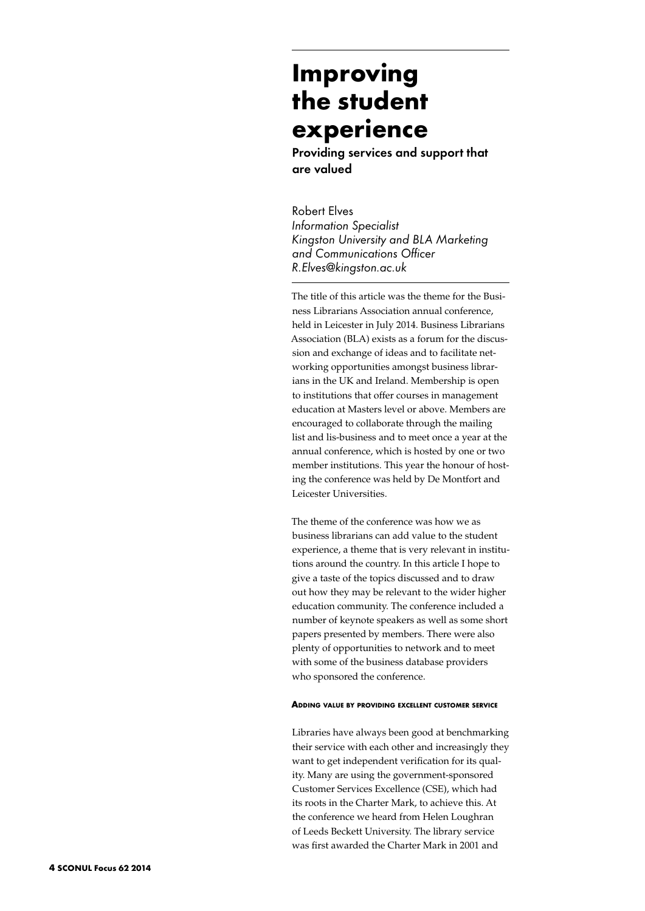# **Improving the student experience**

Providing services and support that are valued

Robert Elves *Information Specialist Kingston University and BLA Marketing and Communications Officer R.Elves@kingston.ac.uk*

The title of this article was the theme for the Business Librarians Association annual conference, held in Leicester in July 2014. Business Librarians Association (BLA) exists as a forum for the discussion and exchange of ideas and to facilitate networking opportunities amongst business librarians in the UK and Ireland. Membership is open to institutions that offer courses in management education at Masters level or above. Members are encouraged to collaborate through the mailing list and lis-business and to meet once a year at the annual conference, which is hosted by one or two member institutions. This year the honour of hosting the conference was held by De Montfort and Leicester Universities.

The theme of the conference was how we as business librarians can add value to the student experience, a theme that is very relevant in institutions around the country. In this article I hope to give a taste of the topics discussed and to draw out how they may be relevant to the wider higher education community. The conference included a number of keynote speakers as well as some short papers presented by members. There were also plenty of opportunities to network and to meet with some of the business database providers who sponsored the conference.

## **Adding value by providing excellent customer service**

Libraries have always been good at benchmarking their service with each other and increasingly they want to get independent verification for its quality. Many are using the government-sponsored Customer Services Excellence (CSE), which had its roots in the Charter Mark, to achieve this. At the conference we heard from Helen Loughran of Leeds Beckett University. The library service was first awarded the Charter Mark in 2001 and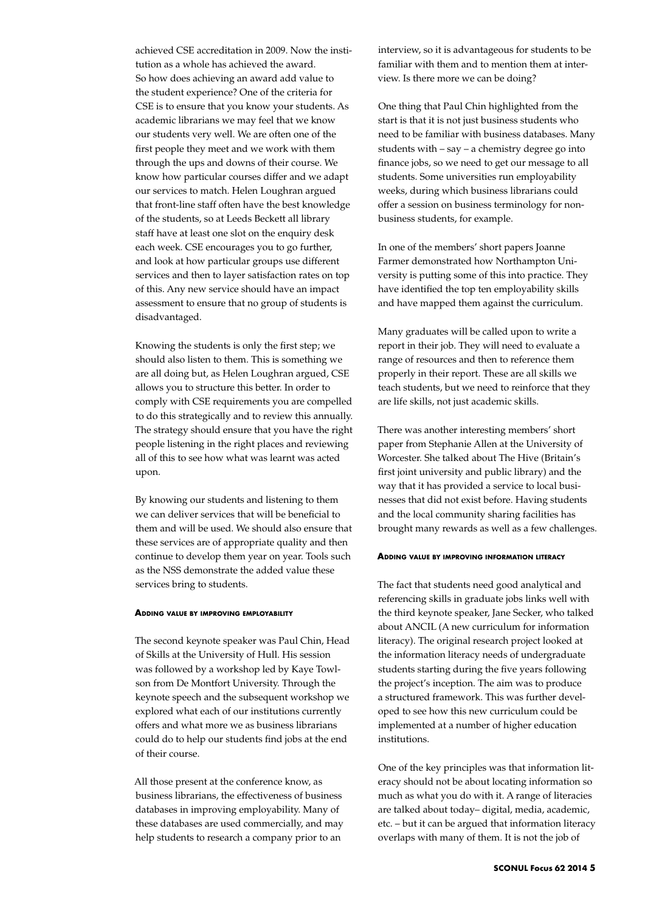achieved CSE accreditation in 2009. Now the institution as a whole has achieved the award. So how does achieving an award add value to the student experience? One of the criteria for CSE is to ensure that you know your students. As academic librarians we may feel that we know our students very well. We are often one of the first people they meet and we work with them through the ups and downs of their course. We know how particular courses differ and we adapt our services to match. Helen Loughran argued that front-line staff often have the best knowledge of the students, so at Leeds Beckett all library staff have at least one slot on the enquiry desk each week. CSE encourages you to go further, and look at how particular groups use different services and then to layer satisfaction rates on top of this. Any new service should have an impact assessment to ensure that no group of students is disadvantaged.

Knowing the students is only the first step; we should also listen to them. This is something we are all doing but, as Helen Loughran argued, CSE allows you to structure this better. In order to comply with CSE requirements you are compelled to do this strategically and to review this annually. The strategy should ensure that you have the right people listening in the right places and reviewing all of this to see how what was learnt was acted upon.

By knowing our students and listening to them we can deliver services that will be beneficial to them and will be used. We should also ensure that these services are of appropriate quality and then continue to develop them year on year. Tools such as the NSS demonstrate the added value these services bring to students.

### **Adding value by improving employability**

The second keynote speaker was Paul Chin, Head of Skills at the University of Hull. His session was followed by a workshop led by Kaye Towlson from De Montfort University. Through the keynote speech and the subsequent workshop we explored what each of our institutions currently offers and what more we as business librarians could do to help our students find jobs at the end of their course.

All those present at the conference know, as business librarians, the effectiveness of business databases in improving employability. Many of these databases are used commercially, and may help students to research a company prior to an

interview, so it is advantageous for students to be familiar with them and to mention them at interview. Is there more we can be doing?

One thing that Paul Chin highlighted from the start is that it is not just business students who need to be familiar with business databases. Many students with – say – a chemistry degree go into finance jobs, so we need to get our message to all students. Some universities run employability weeks, during which business librarians could offer a session on business terminology for nonbusiness students, for example.

In one of the members' short papers Joanne Farmer demonstrated how Northampton University is putting some of this into practice. They have identified the top ten employability skills and have mapped them against the curriculum.

Many graduates will be called upon to write a report in their job. They will need to evaluate a range of resources and then to reference them properly in their report. These are all skills we teach students, but we need to reinforce that they are life skills, not just academic skills.

There was another interesting members' short paper from Stephanie Allen at the University of Worcester. She talked about The Hive (Britain's first joint university and public library) and the way that it has provided a service to local businesses that did not exist before. Having students and the local community sharing facilities has brought many rewards as well as a few challenges.

## **Adding value by improving information literacy**

The fact that students need good analytical and referencing skills in graduate jobs links well with the third keynote speaker, Jane Secker, who talked about ANCIL (A new curriculum for information literacy). The original research project looked at the information literacy needs of undergraduate students starting during the five years following the project's inception. The aim was to produce a structured framework. This was further developed to see how this new curriculum could be implemented at a number of higher education institutions.

One of the key principles was that information literacy should not be about locating information so much as what you do with it. A range of literacies are talked about today– digital, media, academic, etc. – but it can be argued that information literacy overlaps with many of them. It is not the job of